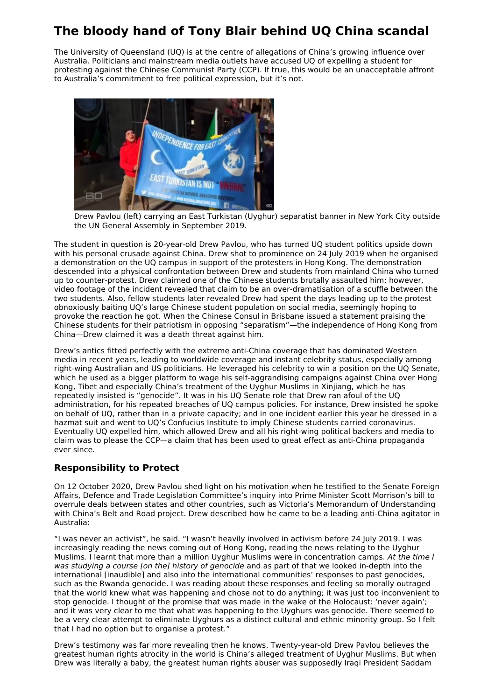## **The bloody hand of Tony Blair behind UQ China scandal**

The University of Queensland (UQ) is at the centre of allegations of China's growing influence over Australia. Politicians and mainstream media outlets have accused UQ of expelling a student for protesting against the Chinese Communist Party (CCP). If true, this would be an unacceptable affront to Australia's commitment to free political expression, but it's not.



Drew Pavlou (left) carrying an East Turkistan (Uyghur) separatist banner in New York City outside the UN General Assembly in September 2019.

The student in question is 20-year-old Drew Pavlou, who has turned UQ student politics upside down with his personal crusade against China. Drew shot to prominence on 24 July 2019 when he organised a demonstration on the UQ campus in support of the protesters in Hong Kong. The demonstration descended into a physical confrontation between Drew and students from mainland China who turned up to counter-protest. Drew claimed one of the Chinese students brutally assaulted him; however, video footage of the incident revealed that claim to be an over-dramatisation of a scuffle between the two students. Also, fellow students later revealed Drew had spent the days leading up to the protest obnoxiously baiting UQ's large Chinese student population on social media, seemingly hoping to provoke the reaction he got. When the Chinese Consul in Brisbane issued a statement praising the Chinese students for their patriotism in opposing "separatism"—the independence of Hong Kong from China—Drew claimed it was a death threat against him.

Drew's antics fitted perfectly with the extreme anti-China coverage that has dominated Western media in recent years, leading to worldwide coverage and instant celebrity status, especially among right-wing Australian and US politicians. He leveraged his celebrity to win a position on the UQ Senate, which he used as a bigger platform to wage his self-aggrandising campaigns against China over Hong Kong, Tibet and especially China's treatment of the Uyghur Muslims in Xinjiang, which he has repeatedly insisted is "genocide". It was in his UQ Senate role that Drew ran afoul of the UQ administration, for his repeated breaches of UQ campus policies. For instance, Drew insisted he spoke on behalf of UQ, rather than in a private capacity; and in one incident earlier this year he dressed in a hazmat suit and went to UQ's Confucius Institute to imply Chinese students carried coronavirus. Eventually UQ expelled him, which allowed Drew and all his right-wing political backers and media to claim was to please the CCP—a claim that has been used to great effect as anti-China propaganda ever since.

## **Responsibility to Protect**

On 12 October 2020, Drew Pavlou shed light on his motivation when he testified to the Senate Foreign Affairs, Defence and Trade Legislation Committee's inquiry into Prime Minister Scott Morrison's bill to overrule deals between states and other countries, such as Victoria's Memorandum of Understanding with China's Belt and Road project. Drew described how he came to be a leading anti-China agitator in Australia:

"I was never an activist", he said. "I wasn't heavily involved in activism before 24 July 2019. I was increasingly reading the news coming out of Hong Kong, reading the news relating to the Uyghur Muslims. I learnt that more than a million Uyghur Muslims were in concentration camps. At the time I was studying a course [on the] history of genocide and as part of that we looked in-depth into the international [inaudible] and also into the international communities' responses to past genocides, such as the Rwanda genocide. I was reading about these responses and feeling so morally outraged that the world knew what was happening and chose not to do anything; it was just too inconvenient to stop genocide. I thought of the promise that was made in the wake of the Holocaust: 'never again'; and it was very clear to me that what was happening to the Uyghurs was genocide. There seemed to be a very clear attempt to eliminate Uyghurs as a distinct cultural and ethnic minority group. So I felt that I had no option but to organise a protest."

Drew's testimony was far more revealing then he knows. Twenty-year-old Drew Pavlou believes the greatest human rights atrocity in the world is China's alleged treatment of Uyghur Muslims. But when Drew was literally a baby, the greatest human rights abuser was supposedly Iraqi President Saddam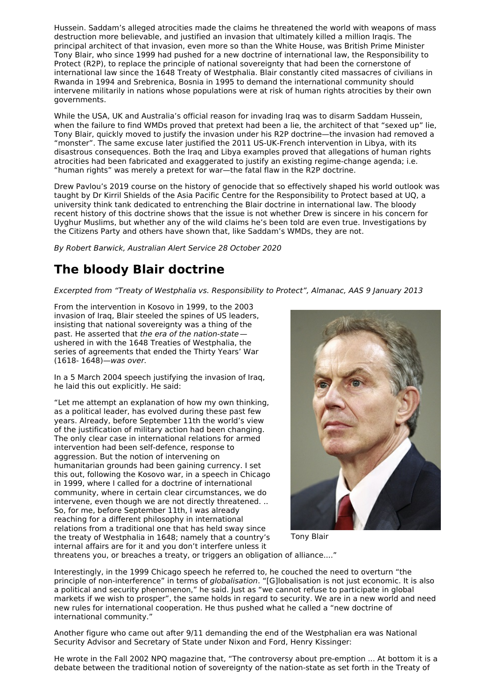Hussein. Saddam's alleged atrocities made the claims he threatened the world with weapons of mass destruction more believable, and justified an invasion that ultimately killed a million Iraqis. The principal architect of that invasion, even more so than the White House, was British Prime Minister Tony Blair, who since 1999 had pushed for a new doctrine of international law, the Responsibility to Protect (R2P), to replace the principle of national sovereignty that had been the cornerstone of international law since the 1648 Treaty of Westphalia. Blair constantly cited massacres of civilians in Rwanda in 1994 and Srebrenica, Bosnia in 1995 to demand the international community should intervene militarily in nations whose populations were at risk of human rights atrocities by their own governments.

While the USA, UK and Australia's official reason for invading Iraq was to disarm Saddam Hussein, when the failure to find WMDs proved that pretext had been a lie, the architect of that "sexed up" lie, Tony Blair, quickly moved to justify the invasion under his R2P doctrine—the invasion had removed a "monster". The same excuse later justified the 2011 US-UK-French intervention in Libya, with its disastrous consequences. Both the Iraq and Libya examples proved that allegations of human rights atrocities had been fabricated and exaggerated to justify an existing regime-change agenda; i.e. "human rights" was merely a pretext for war—the fatal flaw in the R2P doctrine.

Drew Pavlou's 2019 course on the history of genocide that so effectively shaped his world outlook was taught by Dr Kirril Shields of the Asia Pacific Centre for the Responsibility to Protect based at UQ, a university think tank dedicated to entrenching the Blair doctrine in international law. The bloody recent history of this doctrine shows that the issue is not whether Drew is sincere in his concern for Uyghur Muslims, but whether any of the wild claims he's been told are even true. Investigations by the Citizens Party and others have shown that, like Saddam's WMDs, they are not.

By Robert Barwick, Australian Alert Service 28 October 2020

## **The bloody Blair doctrine**

Excerpted from "Treaty of Westphalia vs. Responsibility to Protect", Almanac, AAS 9 January 2013

From the intervention in Kosovo in 1999, to the 2003 invasion of Iraq, Blair steeled the spines of US leaders, insisting that national sovereignty was a thing of the past. He asserted that the era of the nation-state ushered in with the 1648 Treaties of Westphalia, the series of agreements that ended the Thirty Years' War (1618- 1648)—was over.

In a 5 March 2004 speech justifying the invasion of Iraq, he laid this out explicitly. He said:

"Let me attempt an explanation of how my own thinking, as a political leader, has evolved during these past few years. Already, before September 11th the world's view of the justification of military action had been changing. The only clear case in international relations for armed intervention had been self-defence, response to aggression. But the notion of intervening on humanitarian grounds had been gaining currency. I set this out, following the Kosovo war, in a speech in Chicago in 1999, where I called for a doctrine of international community, where in certain clear circumstances, we do intervene, even though we are not directly threatened. .. So, for me, before September 11th, I was already reaching for a different philosophy in international relations from a traditional one that has held sway since the treaty of Westphalia in 1648; namely that a country's internal affairs are for it and you don't interfere unless it



Tony Blair

threatens you, or breaches a treaty, or triggers an obligation of alliance...."

Interestingly, in the 1999 Chicago speech he referred to, he couched the need to overturn "the principle of non-interference" in terms of *globalisation*. "[G]lobalisation is not just economic. It is also a political and security phenomenon," he said. Just as "we cannot refuse to participate in global markets if we wish to prosper", the same holds in regard to security. We are in a new world and need new rules for international cooperation. He thus pushed what he called a "new doctrine of international community."

Another figure who came out after 9/11 demanding the end of the Westphalian era was National Security Advisor and Secretary of State under Nixon and Ford, Henry Kissinger:

He wrote in the Fall 2002 NPQ magazine that, "The controversy about pre-emption ... At bottom it is a debate between the traditional notion of sovereignty of the nation-state as set forth in the Treaty of